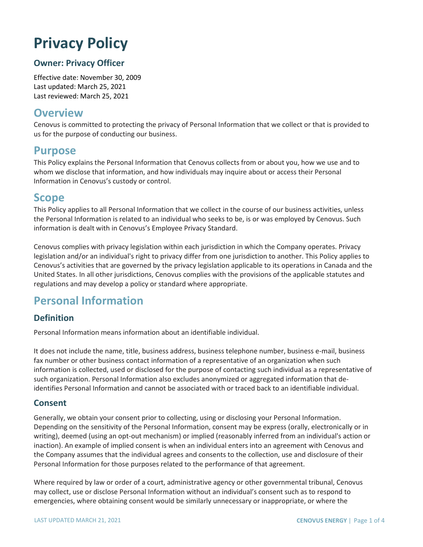# **Privacy Policy**

### **Owner: Privacy Officer**

Effective date: November 30, 2009 Last updated: March 25, 2021 Last reviewed: March 25, 2021

# **Overview**

Cenovus is committed to protecting the privacy of Personal Information that we collect or that is provided to us for the purpose of conducting our business.

# **Purpose**

This Policy explains the Personal Information that Cenovus collects from or about you, how we use and to whom we disclose that information, and how individuals may inquire about or access their Personal Information in Cenovus's custody or control.

# **Scope**

This Policy applies to all Personal Information that we collect in the course of our business activities, unless the Personal Information is related to an individual who seeks to be, is or was employed by Cenovus. Such information is dealt with in Cenovus's Employee Privacy Standard.

Cenovus complies with privacy legislation within each jurisdiction in which the Company operates. Privacy legislation and/or an individual's right to privacy differ from one jurisdiction to another. This Policy applies to Cenovus's activities that are governed by the privacy legislation applicable to its operations in Canada and the United States. In all other jurisdictions, Cenovus complies with the provisions of the applicable statutes and regulations and may develop a policy or standard where appropriate.

# **Personal Information**

#### **Definition**

Personal Information means information about an identifiable individual.

It does not include the name, title, business address, business telephone number, business e-mail, business fax number or other business contact information of a representative of an organization when such information is collected, used or disclosed for the purpose of contacting such individual as a representative of such organization. Personal Information also excludes anonymized or aggregated information that deidentifies Personal Information and cannot be associated with or traced back to an identifiable individual.

#### **Consent**

Generally, we obtain your consent prior to collecting, using or disclosing your Personal Information. Depending on the sensitivity of the Personal Information, consent may be express (orally, electronically or in writing), deemed (using an opt-out mechanism) or implied (reasonably inferred from an individual's action or inaction). An example of implied consent is when an individual enters into an agreement with Cenovus and the Company assumes that the individual agrees and consents to the collection, use and disclosure of their Personal Information for those purposes related to the performance of that agreement.

Where required by law or order of a court, administrative agency or other governmental tribunal, Cenovus may collect, use or disclose Personal Information without an individual's consent such as to respond to emergencies, where obtaining consent would be similarly unnecessary or inappropriate, or where the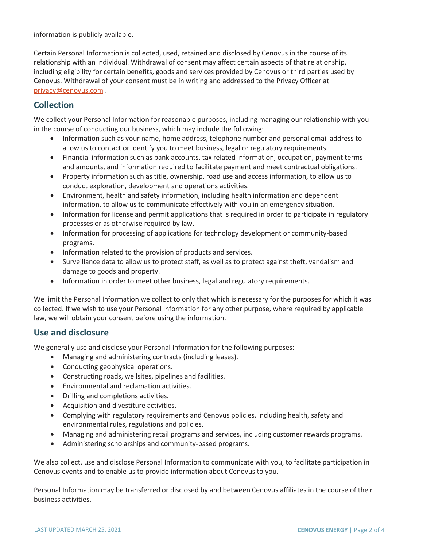information is publicly available.

Certain Personal Information is collected, used, retained and disclosed by Cenovus in the course of its relationship with an individual. Withdrawal of consent may affect certain aspects of that relationship, including eligibility for certain benefits, goods and services provided by Cenovus or third parties used by Cenovus. Withdrawal of your consent must be in writing and addressed to the Privacy Officer at [privacy@cenovus.com](mailto:privacy@cenovus.com) .

## **Collection**

We collect your Personal Information for reasonable purposes, including managing our relationship with you in the course of conducting our business, which may include the following:

- Information such as your name, home address, telephone number and personal email address to allow us to contact or identify you to meet business, legal or regulatory requirements.
- Financial information such as bank accounts, tax related information, occupation, payment terms and amounts, and information required to facilitate payment and meet contractual obligations.
- Property information such as title, ownership, road use and access information, to allow us to conduct exploration, development and operations activities.
- Environment, health and safety information, including health information and dependent information, to allow us to communicate effectively with you in an emergency situation.
- Information for license and permit applications that is required in order to participate in regulatory processes or as otherwise required by law.
- Information for processing of applications for technology development or community-based programs.
- Information related to the provision of products and services.
- Surveillance data to allow us to protect staff, as well as to protect against theft, vandalism and damage to goods and property.
- Information in order to meet other business, legal and regulatory requirements.

We limit the Personal Information we collect to only that which is necessary for the purposes for which it was collected. If we wish to use your Personal Information for any other purpose, where required by applicable law, we will obtain your consent before using the information.

#### **Use and disclosure**

We generally use and disclose your Personal Information for the following purposes:

- Managing and administering contracts (including leases).
- Conducting geophysical operations.
- Constructing roads, wellsites, pipelines and facilities.
- Environmental and reclamation activities.
- Drilling and completions activities.
- Acquisition and divestiture activities.
- Complying with regulatory requirements and Cenovus policies, including health, safety and environmental rules, regulations and policies.
- Managing and administering retail programs and services, including customer rewards programs.
- Administering scholarships and community-based programs.

We also collect, use and disclose Personal Information to communicate with you, to facilitate participation in Cenovus events and to enable us to provide information about Cenovus to you.

Personal Information may be transferred or disclosed by and between Cenovus affiliates in the course of their business activities.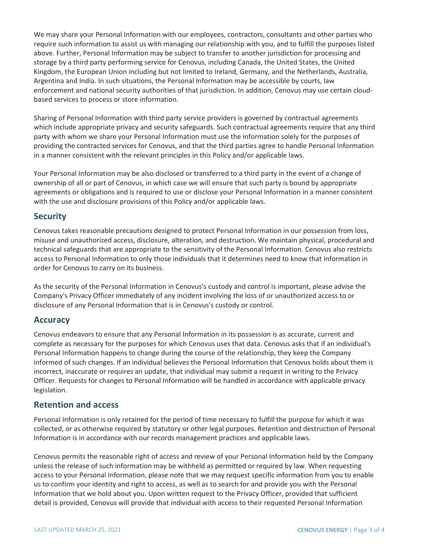We may share your Personal Information with our employees, contractors, consultants and other parties who require such information to assist us with managing our relationship with you, and to fulfill the purposes listed above. Further, Personal Information may be subject to transfer to another jurisdiction for processing and storage by a third party performing service for Cenovus, including Canada, the United States, the United Kingdom, the European Union including but not limited to Ireland, Germany, and the Netherlands, Australia, Argentina and India. In such situations, the Personal Information may be accessible by courts, law enforcement and national security authorities of that jurisdiction. In addition, Cenovus may use certain cloudbased services to process or store information.

Sharing of Personal Information with third party service providers is governed by contractual agreements which include appropriate privacy and security safeguards. Such contractual agreements require that any third party with whom we share your Personal Information must use the information solely for the purposes of providing the contracted services for Cenovus, and that the third parties agree to handle Personal Information in a manner consistent with the relevant principles in this Policy and/or applicable laws.

Your Personal Information may be also disclosed or transferred to a third party in the event of a change of ownership of all or part of Cenovus, in which case we will ensure that such party is bound by appropriate agreements or obligations and is required to use or disclose your Personal Information in a manner consistent with the use and disclosure provisions of this Policy and/or applicable laws.

#### **Security**

Cenovus takes reasonable precautions designed to protect Personal Information in our possession from loss, misuse and unauthorized access, disclosure, alteration, and destruction. We maintain physical, procedural and technical safeguards that are appropriate to the sensitivity of the Personal Information. Cenovus also restricts access to Personal Information to only those individuals that it determines need to know that information in order for Cenovus to carry on its business.

As the security of the Personal Information in Cenovus's custody and control is important, please advise the Company's Privacy Officer immediately of any incident involving the loss of or unauthorized access to or disclosure of any Personal Information that is in Cenovus's custody or control.

#### **Accuracy**

Cenovus endeavors to ensure that any Personal Information in its possession is as accurate, current and complete as necessary for the purposes for which Cenovus uses that data. Cenovus asks that if an individual's Personal Information happens to change during the course of the relationship, they keep the Company informed of such changes. If an individual believes the Personal Information that Cenovus holds about them is incorrect, inaccurate or requires an update, that individual may submit a request in writing to the Privacy Officer. Requests for changes to Personal Information will be handled in accordance with applicable privacy legislation.

#### **Retention and access**

Personal Information is only retained for the period of time necessary to fulfill the purpose for which it was collected, or as otherwise required by statutory or other legal purposes. Retention and destruction of Personal Information is in accordance with our records management practices and applicable laws.

Cenovus permits the reasonable right of access and review of your Personal Information held by the Company unless the release of such information may be withheld as permitted or required by law. When requesting access to your Personal Information, please note that we may request specific information from you to enable us to confirm your identity and right to access, as well as to search for and provide you with the Personal Information that we hold about you. Upon written request to the Privacy Officer, provided that sufficient detail is provided, Cenovus will provide that individual with access to their requested Personal Information